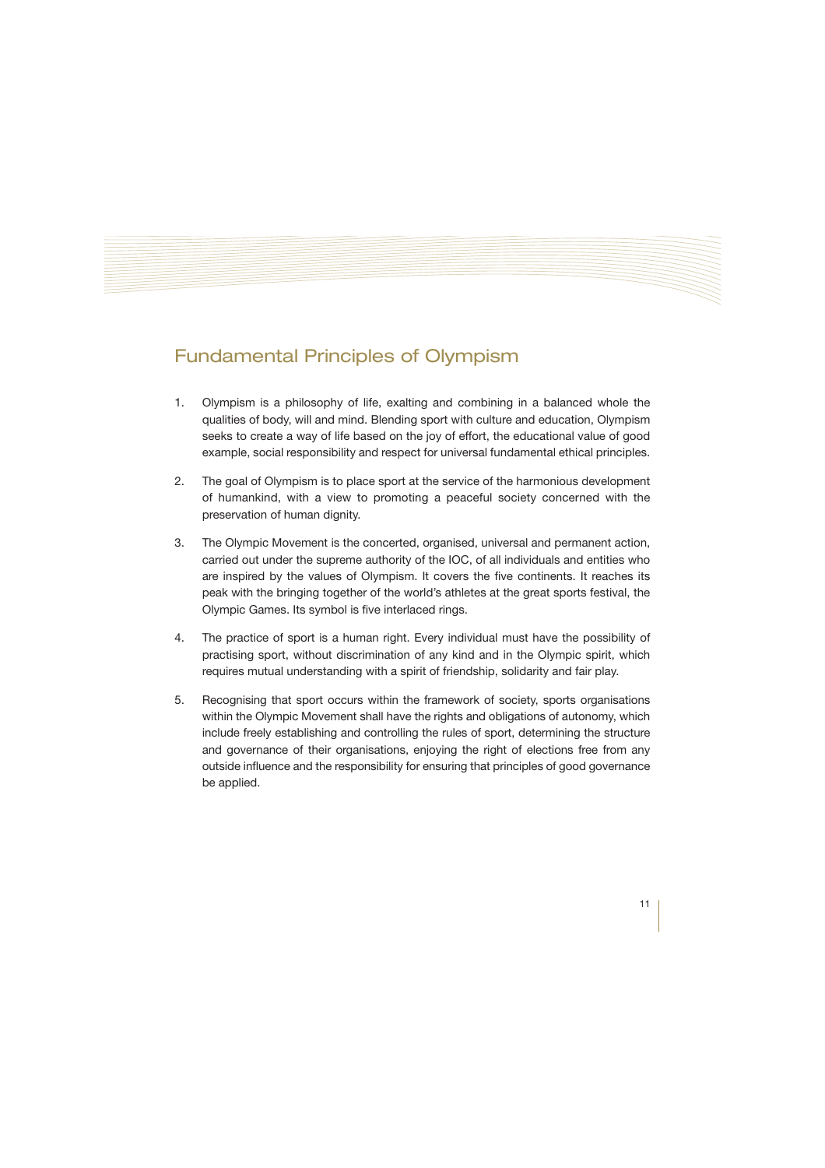## Fundamental Principles of Olympism

- 1. Olympism is a philosophy of life, exalting and combining in a balanced whole the qualities of body, will and mind. Blending sport with culture and education, Olympism seeks to create a way of life based on the joy of effort, the educational value of good example, social responsibility and respect for universal fundamental ethical principles.
- 2. The goal of Olympism is to place sport at the service of the harmonious development of humankind, with a view to promoting a peaceful society concerned with the preservation of human dignity.
- 3. The Olympic Movement is the concerted, organised, universal and permanent action, carried out under the supreme authority of the IOC, of all individuals and entities who are inspired by the values of Olympism. It covers the five continents. It reaches its peak with the bringing together of the world's athletes at the great sports festival, the Olympic Games. Its symbol is five interlaced rings.
- 4. The practice of sport is a human right. Every individual must have the possibility of practising sport, without discrimination of any kind and in the Olympic spirit, which requires mutual understanding with a spirit of friendship, solidarity and fair play.
- 5. Recognising that sport occurs within the framework of society, sports organisations within the Olympic Movement shall have the rights and obligations of autonomy, which include freely establishing and controlling the rules of sport, determining the structure and governance of their organisations, enjoying the right of elections free from any outside influence and the responsibility for ensuring that principles of good governance be applied.